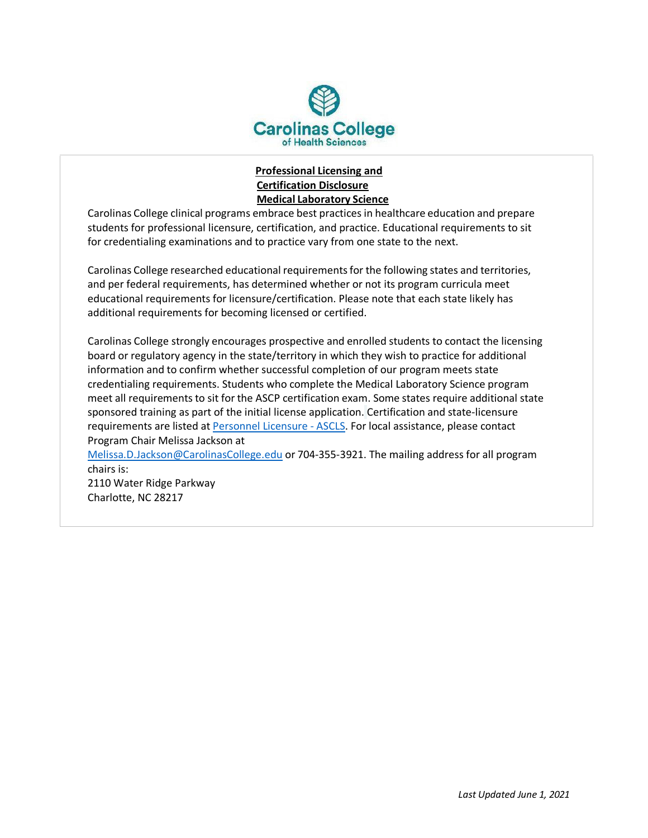

## **Professional Licensing and Certification Disclosure Medical Laboratory Science**

Carolinas College clinical programs embrace best practices in healthcare education and prepare students for professional licensure, certification, and practice. Educational requirements to sit for credentialing examinations and to practice vary from one state to the next.

Carolinas College researched educational requirementsfor the following states and territories, and per federal requirements, has determined whether or not its program curricula meet educational requirements for licensure/certification. Please note that each state likely has additional requirements for becoming licensed or certified.

Carolinas College strongly encourages prospective and enrolled students to contact the licensing board or regulatory agency in the state/territory in which they wish to practice for additional information and to confirm whether successful completion of our program meets state credentialing requirements. Students who complete the Medical Laboratory Science program meet all requirements to sit for the ASCP certification exam. Some states require additional state sponsored training as part of the initial license application. Certification and state-licensure requirements are listed at [Personnel Licensure -](https://ascls.org/licensure) ASCL[S. For local assistance, please contact](https://www.ascp.org/content/board-of-certification/get-credentialed) [Program C](https://www.ascp.org/content/board-of-certification/get-credentialed)hair Melissa Jackson at

[Melissa.D.Jackson@CarolinasCollege.edu](mailto:Melissa.D.Jackson@CarolinasCollege.edu) or 704-355-3921. The mailing address for all program chairs is:

2110 Water Ridge Parkway Charlotte, NC 28217